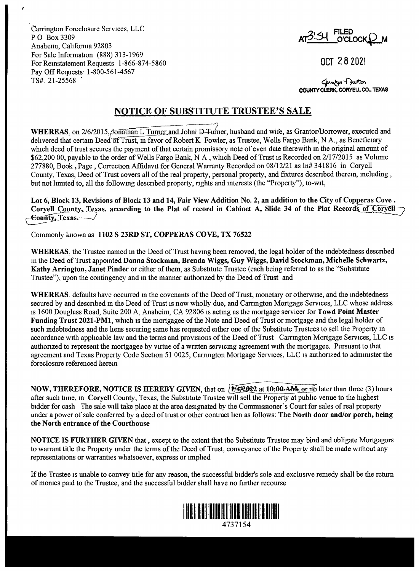Carrington Foreclosure Services, LLC PO Box3309 Anahenn, Cahfomia 92803 For Sale Information (888) 313-1969 For Remstatement Requests 1-866-874-5860 Pay Off Requests· 1-800-561-4567 TS#. 21-25568 .

**\_214 1 FILED A**<sup> $O$ </sup>CLOCK

OCT 2 8 2021

**COUNTY CLERK, CORYELL CO., TEXAS** ~~ **CORYELL CO., TEXAS** 

## **NOTICE OF SUBSTITUTE TRUSTEE'S SALE**

WHEREAS, on 2/6/2015, Jonathan L Turner and Johni-D-Turner, husband and wife, as Grantor/Borrower, executed and dehvered that certam Deed of Trust, in favor of Robert K Fowler, as Trustee, Wells Fargo Bank, N A., as Beneficiary which deed of trust secures the payment of that certain promissory note of even date therewith in the original amount of \$62,200 00, payable to the order of Wells Fargo Bank, N A, which Deed of Trust is Recorded on 2/17/2015 as Volume 277880, Book, Page, Correction Affidavit for General Warranty Recorded on 08/12/21 as In# 341816 in Coryell County, Texas, Deed of Trust covers all of the real property, personal property, and fixtures descnbed therem, mcluding, but not limited to, all the following described property, rights and interests (the "Property"), to-wit,

**Lot 6, Block 13, Revisions of Block 13 and 14, Fair View Addition No. 2, an addition to the City of Copperas Cove** , Corvell County, Texas, according to the Plat of record in Cabinet A, Slide 34 of the Plat Records of Coryell<sup>-</sup> **~cy,\_'Iexas.--../** 

Commonly known as **1102 S 23RD ST, COPPERAS COVE, TX 76522** 

**WHEREAS,** the Trustee named m the Deed of Trust havmg been removed, the legal holder of the mdebtedness descnbed m the Deed of Trust appomted **Donna Stockman, Brenda Wiggs, Guy Wiggs, David Stockman, Michelle Schwartz, Kathy Arrington, Janet Pinder** or either of them, as Substitute Trustee (each being referred to as the "Substitute Trustee"), upon the contingency and m the manner authonzed by the Deed of Trust and

**WHEREAS,** defaults have occurred m the covenants of the Deed of Trust, monetary or otherwise, and the mdebtedness secured by and descnbed m the Deed of Trust is now wholly due, and Carrmgton Mortgage Services, LLC whose address is 1600 Douglass Road, Suite 200 A, Anaheim, CA 92806 is actmg as the mortgage servicer for **Towd Point Master Funding Trust 2021-PMl,** which is the mortgagee of the Note and Deed of Trust or mortgage and the legal holder of such mdebtedness and the hens securing same has requested either one of the Substitute Trustees to sell the Property m accordance with applicable law and the terms and provisions of the Deed of Trust Carrington Mortgage Services, LLC is authonzed to represent the mortgagee by virtue of a wntten servicmg agreement with the mortgagee. Pursuant to that agreement and Texas Property Code Section 51 0025, Carnngton Mortgage Services, LLC is authonzed to admimster the foreclosure referenced herem

**NOW, THEREFORE, NOTICE IS HEREBY GIVEN, that on**  $\overline{N/492022}$  **at 10:00-AM, or no later than three (3) hours** after such time, m **Coryell** County, Texas, the Substitute Trustee will sell the Property at pubhc venue to the highest bidder for cash The sale will take place at the area designated by the Commissioner's Court for sales of real property under a power of sale conferred by a deed of trust or other contract hen as follows: **The North door and/or porch, being the North entrance of the Courthouse** 

**NOTICE IS FURTHER GIVEN** that , except to the extent that the Substitute Trustee may bind and obligate Mortgagors to warrant title the Property under the terms of the Deed of Trust, conveyance of the Property shall be made without any representations or warranties whatsoever, express or implied

If the Trustee is unable to convey title for any reason, the successful bidder's sole and exclusive remedy shall be the return of momes paid to the Trustee, and the successful bidder shall have no further recourse



4737154